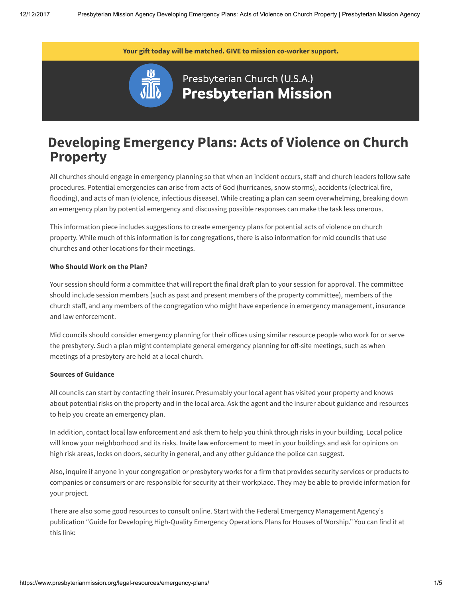Your gift today will be matched. [GIVE](https://pma.pcusa.org/donate/make-a-gift/gift-info/E132192/?appeal=8WM17&package=PMABan) to mission co-worker support.



## Presbyterian Church (U.S.A.) **Presbyterian Mission**

# Developing Emergency Plans: Acts of Violence on Church Property

All churches should engage in emergency planning so that when an incident occurs, staff and church leaders follow safe procedures. Potential emergencies can arise from acts of God (hurricanes, snow storms), accidents (electrical fire, flooding), and acts of man (violence, infectious disease). While creating a plan can seem overwhelming, breaking down an emergency plan by potential emergency and discussing possible responses can make the task less onerous.

This information piece includes suggestions to create emergency plans for potential acts of violence on church property. While much of this information is for congregations, there is also information for mid councils that use churches and other locations for their meetings.

#### Who Should Work on the Plan?

Your session should form a committee that will report the final draft plan to your session for approval. The committee should include session members (such as past and present members of the property committee), members of the church staff, and any members of the congregation who might have experience in emergency management, insurance and law enforcement.

Mid councils should consider emergency planning for their offices using similar resource people who work for or serve the presbytery. Such a plan might contemplate general emergency planning for off-site meetings, such as when meetings of a presbytery are held at a local church.

#### Sources of Guidance

All councils can start by contacting their insurer. Presumably your local agent has visited your property and knows about potential risks on the property and in the local area. Ask the agent and the insurer about guidance and resources to help you create an emergency plan.

In addition, contact local law enforcement and ask them to help you think through risks in your building. Local police will know your neighborhood and its risks. Invite law enforcement to meet in your buildings and ask for opinions on high risk areas, locks on doors, security in general, and any other guidance the police can suggest.

Also, inquire if anyone in your congregation or presbytery works for a firm that provides security services or products to companies or consumers or are responsible for security at their workplace. They may be able to provide information for your project.

There are also some good resources to consult online. Start with the Federal Emergency Management Agency's publication "Guide for Developing High-Quality Emergency Operations Plans for Houses of Worship." You can find it at this link: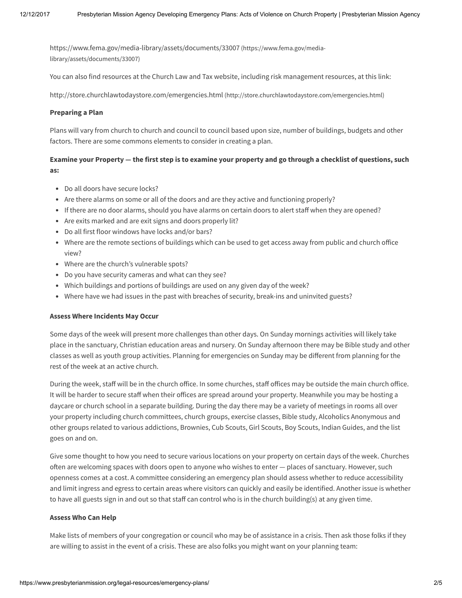<https://www.fema.gov/media-library/assets/documents/33007> (https://www.fema.gov/medialibrary/assets/documents/33007)

You can also find resources at the Church Law and Tax website, including risk management resources, at this link:

<http://store.churchlawtodaystore.com/emergencies.html> (http://store.churchlawtodaystore.com/emergencies.html)

#### Preparing a Plan

Plans will vary from church to church and council to council based upon size, number of buildings, budgets and other factors. There are some commons elements to consider in creating a plan.

## Examine your Property — the first step is to examine your property and go through a checklist of questions, such as:

- Do all doors have secure locks?
- Are there alarms on some or all of the doors and are they active and functioning properly?
- If there are no door alarms, should you have alarms on certain doors to alert staff when they are opened?
- Are exits marked and are exit signs and doors properly lit?
- Do all first floor windows have locks and/or bars?
- Where are the remote sections of buildings which can be used to get access away from public and church office view?
- Where are the church's vulnerable spots?
- Do you have security cameras and what can they see?
- Which buildings and portions of buildings are used on any given day of the week?
- Where have we had issues in the past with breaches of security, break-ins and uninvited guests?

#### Assess Where Incidents May Occur

Some days of the week will present more challenges than other days. On Sunday mornings activities will likely take place in the sanctuary, Christian education areas and nursery. On Sunday afternoon there may be Bible study and other classes as well as youth group activities. Planning for emergencies on Sunday may be different from planning for the rest of the week at an active church.

During the week, staff will be in the church office. In some churches, staff offices may be outside the main church office. It will be harder to secure staff when their offices are spread around your property. Meanwhile you may be hosting a daycare or church school in a separate building. During the day there may be a variety of meetings in rooms all over your property including church committees, church groups, exercise classes, Bible study, Alcoholics Anonymous and other groups related to various addictions, Brownies, Cub Scouts, Girl Scouts, Boy Scouts, Indian Guides, and the list goes on and on.

Give some thought to how you need to secure various locations on your property on certain days of the week. Churches often are welcoming spaces with doors open to anyone who wishes to enter — places of sanctuary. However, such openness comes at a cost. A committee considering an emergency plan should assess whether to reduce accessibility and limit ingress and egress to certain areas where visitors can quickly and easily be identified. Another issue is whether to have all guests sign in and out so that staff can control who is in the church building(s) at any given time.

#### Assess Who Can Help

Make lists of members of your congregation or council who may be of assistance in a crisis. Then ask those folks if they are willing to assist in the event of a crisis. These are also folks you might want on your planning team: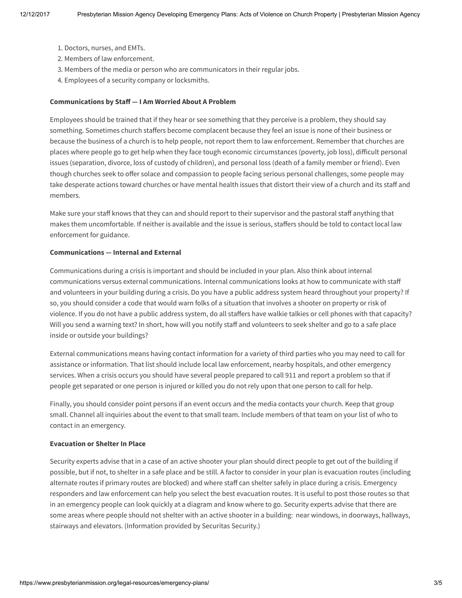- 1. Doctors, nurses, and EMTs.
- 2. Members of law enforcement.
- 3. Members of the media or person who are communicators in their regular jobs.
- 4. Employees of a security company or locksmiths.

#### Communications by Staff — I Am Worried About A Problem

Employees should be trained that if they hear or see something that they perceive is a problem, they should say something. Sometimes church staffers become complacent because they feel an issue is none of their business or because the business of a church is to help people, not report them to law enforcement. Remember that churches are places where people go to get help when they face tough economic circumstances (poverty, job loss), difficult personal issues (separation, divorce, loss of custody of children), and personal loss (death of a family member or friend). Even though churches seek to offer solace and compassion to people facing serious personal challenges, some people may take desperate actions toward churches or have mental health issues that distort their view of a church and its staff and members.

Make sure your staff knows that they can and should report to their supervisor and the pastoral staff anything that makes them uncomfortable. If neither is available and the issue is serious, staffers should be told to contact local law enforcement for guidance.

#### Communications — Internal and External

Communications during a crisis is important and should be included in your plan. Also think about internal communications versus external communications. Internal communications looks at how to communicate with staff and volunteers in your building during a crisis. Do you have a public address system heard throughout your property? If so, you should consider a code that would warn folks of a situation that involves a shooter on property or risk of violence. If you do not have a public address system, do all staffers have walkie talkies or cell phones with that capacity? Will you send a warning text? In short, how will you notify staff and volunteers to seek shelter and go to a safe place inside or outside your buildings?

External communications means having contact information for a variety of third parties who you may need to call for assistance or information. That list should include local law enforcement, nearby hospitals, and other emergency services. When a crisis occurs you should have several people prepared to call 911 and report a problem so that if people get separated or one person is injured or killed you do not rely upon that one person to call for help.

Finally, you should consider point persons if an event occurs and the media contacts your church. Keep that group small. Channel all inquiries about the event to that small team. Include members of that team on your list of who to contact in an emergency.

#### Evacuation or Shelter In Place

Security experts advise that in a case of an active shooter your plan should direct people to get out of the building if possible, but if not, to shelter in a safe place and be still. A factor to consider in your plan is evacuation routes (including alternate routes if primary routes are blocked) and where staff can shelter safely in place during a crisis. Emergency responders and law enforcement can help you select the best evacuation routes. It is useful to post those routes so that in an emergency people can look quickly at a diagram and know where to go. Security experts advise that there are some areas where people should not shelter with an active shooter in a building: near windows, in doorways, hallways, stairways and elevators. (Information provided by Securitas Security.)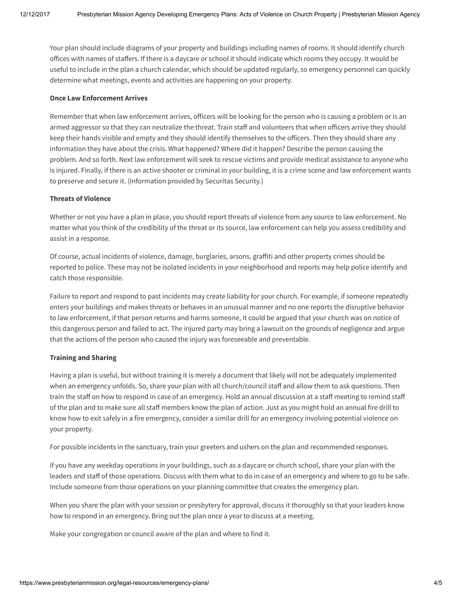Your plan should include diagrams of your property and buildings including names of rooms. It should identify church offices with names of staffers. If there is a daycare or school it should indicate which rooms they occupy. It would be useful to include in the plan a church calendar, which should be updated regularly, so emergency personnel can quickly determine what meetings, events and activities are happening on your property.

#### Once Law Enforcement Arrives

Remember that when law enforcement arrives, officers will be looking for the person who is causing a problem or is an armed aggressor so that they can neutralize the threat. Train staff and volunteers that when officers arrive they should keep their hands visible and empty and they should identify themselves to the officers. Then they should share any information they have about the crisis. What happened? Where did it happen? Describe the person causing the problem. And so forth. Next law enforcement will seek to rescue victims and provide medical assistance to anyone who is injured. Finally, if there is an active shooter or criminal in your building, it is a crime scene and law enforcement wants to preserve and secure it. (Information provided by Securitas Security.)

### Threats of Violence

Whether or not you have a plan in place, you should report threats of violence from any source to law enforcement. No matter what you think of the credibility of the threat or its source, law enforcement can help you assess credibility and assist in a response.

Of course, actual incidents of violence, damage, burglaries, arsons, graffiti and other property crimes should be reported to police. These may not be isolated incidents in your neighborhood and reports may help police identify and catch those responsible.

Failure to report and respond to past incidents may create liability for your church. For example, if someone repeatedly enters your buildings and makes threats or behaves in an unusual manner and no one reports the disruptive behavior to law enforcement, if that person returns and harms someone, it could be argued that your church was on notice of this dangerous person and failed to act. The injured party may bring a lawsuit on the grounds of negligence and argue that the actions of the person who caused the injury was foreseeable and preventable.

#### Training and Sharing

Having a plan is useful, but without training it is merely a document that likely will not be adequately implemented when an emergency unfolds. So, share your plan with all church/council staff and allow them to ask questions. Then train the staff on how to respond in case of an emergency. Hold an annual discussion at a staff meeting to remind staff of the plan and to make sure all staff members know the plan of action. Just as you might hold an annual fire drill to know how to exit safely in a fire emergency, consider a similar drill for an emergency involving potential violence on your property.

For possible incidents in the sanctuary, train your greeters and ushers on the plan and recommended responses.

If you have any weekday operations in your buildings, such as a daycare or church school, share your plan with the leaders and staff of those operations. Discuss with them what to do in case of an emergency and where to go to be safe. Include someone from those operations on your planning committee that creates the emergency plan.

When you share the plan with your session or presbytery for approval, discuss it thoroughly so that your leaders know how to respond in an emergency. Bring out the plan once a year to discuss at a meeting.

Make your congregation or council aware of the plan and where to find it.